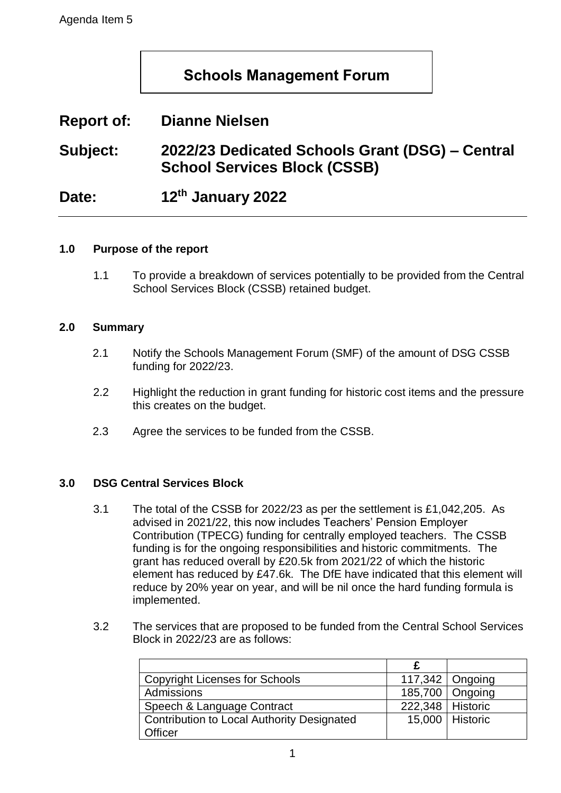# **Schools Management Forum**

# **Report of: Dianne Nielsen**

**Subject: 2022/23 Dedicated Schools Grant (DSG) – Central School Services Block (CSSB)**

Date: **th January 2022**

#### **1.0 Purpose of the report**

1.1 To provide a breakdown of services potentially to be provided from the Central School Services Block (CSSB) retained budget.

#### **2.0 Summary**

- 2.1 Notify the Schools Management Forum (SMF) of the amount of DSG CSSB funding for 2022/23.
- 2.2 Highlight the reduction in grant funding for historic cost items and the pressure this creates on the budget.
- 2.3 Agree the services to be funded from the CSSB.

#### **3.0 DSG Central Services Block**

- 3.1 The total of the CSSB for 2022/23 as per the settlement is £1,042,205. As advised in 2021/22, this now includes Teachers' Pension Employer Contribution (TPECG) funding for centrally employed teachers. The CSSB funding is for the ongoing responsibilities and historic commitments. The grant has reduced overall by £20.5k from 2021/22 of which the historic element has reduced by £47.6k. The DfE have indicated that this element will reduce by 20% year on year, and will be nil once the hard funding formula is implemented.
- 3.2 The services that are proposed to be funded from the Central School Services Block in 2022/23 are as follows:

| <b>Copyright Licenses for Schools</b>             |                    | $117,342$   Ongoing |
|---------------------------------------------------|--------------------|---------------------|
| Admissions                                        |                    | 185,700   Ongoing   |
| Speech & Language Contract                        | 222,348   Historic |                     |
| <b>Contribution to Local Authority Designated</b> |                    | 15,000   Historic   |
| <b>Officer</b>                                    |                    |                     |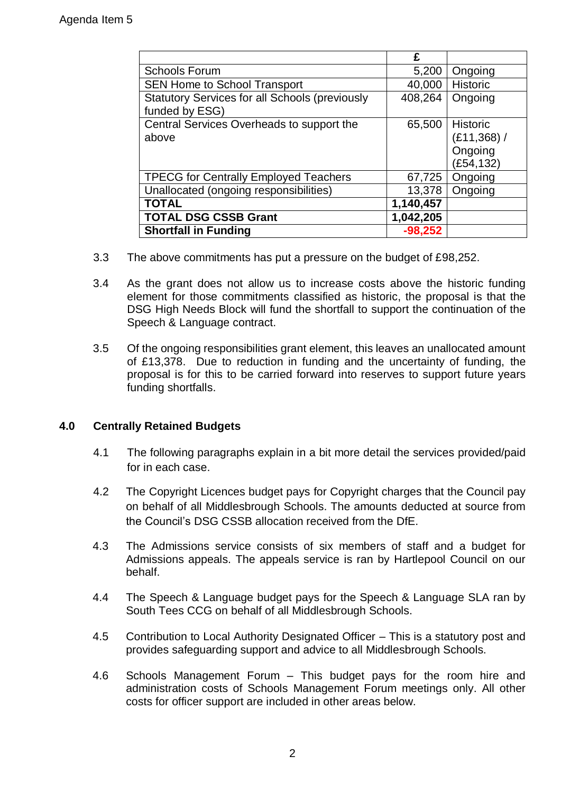|                                                                         | £         |                                                       |
|-------------------------------------------------------------------------|-----------|-------------------------------------------------------|
| <b>Schools Forum</b>                                                    | 5,200     | Ongoing                                               |
| <b>SEN Home to School Transport</b>                                     | 40,000    | Historic                                              |
| <b>Statutory Services for all Schools (previously</b><br>funded by ESG) | 408,264   | Ongoing                                               |
| Central Services Overheads to support the<br>above                      | 65,500    | <b>Historic</b><br>(£11,368)/<br>Ongoing<br>(£54,132) |
| <b>TPECG for Centrally Employed Teachers</b>                            | 67,725    | Ongoing                                               |
| Unallocated (ongoing responsibilities)                                  | 13,378    | Ongoing                                               |
| <b>TOTAL</b>                                                            | 1,140,457 |                                                       |
| <b>TOTAL DSG CSSB Grant</b>                                             | 1,042,205 |                                                       |
| <b>Shortfall in Funding</b>                                             | $-98,252$ |                                                       |

- 3.3 The above commitments has put a pressure on the budget of £98,252.
- 3.4 As the grant does not allow us to increase costs above the historic funding element for those commitments classified as historic, the proposal is that the DSG High Needs Block will fund the shortfall to support the continuation of the Speech & Language contract.
- 3.5 Of the ongoing responsibilities grant element, this leaves an unallocated amount of £13,378. Due to reduction in funding and the uncertainty of funding, the proposal is for this to be carried forward into reserves to support future years funding shortfalls.

## **4.0 Centrally Retained Budgets**

- 4.1 The following paragraphs explain in a bit more detail the services provided/paid for in each case.
- 4.2 The Copyright Licences budget pays for Copyright charges that the Council pay on behalf of all Middlesbrough Schools. The amounts deducted at source from the Council's DSG CSSB allocation received from the DfE.
- 4.3 The Admissions service consists of six members of staff and a budget for Admissions appeals. The appeals service is ran by Hartlepool Council on our behalf.
- 4.4 The Speech & Language budget pays for the Speech & Language SLA ran by South Tees CCG on behalf of all Middlesbrough Schools.
- 4.5 Contribution to Local Authority Designated Officer This is a statutory post and provides safeguarding support and advice to all Middlesbrough Schools.
- 4.6 Schools Management Forum This budget pays for the room hire and administration costs of Schools Management Forum meetings only. All other costs for officer support are included in other areas below.